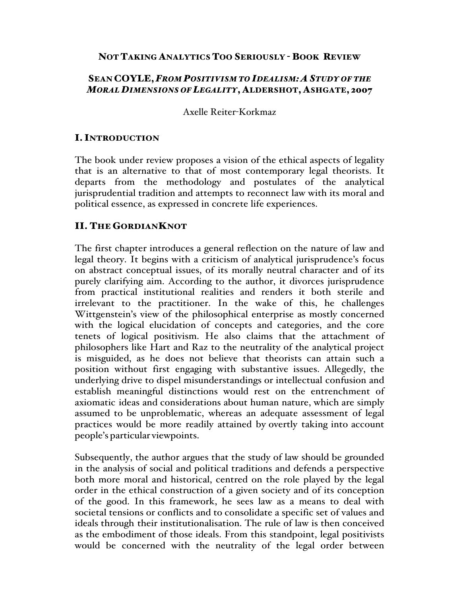### NOT TAKING ANALYTICS TOO SERIOUSLY - BOOK REVIEW

## SEAN COYLE,*FROM POSITIVISM TO IDEALISM: A STUDY OF THE MORAL DIMENSIONS OF LEGALITY*, ALDERSHOT, ASHGATE, 2007

Axelle Reiter-Korkmaz

## I. INTRODUCTION

The book under review proposes a vision of the ethical aspects of legality that is an alternative to that of most contemporary legal theorists. It departs from the methodology and postulates of the analytical jurisprudential tradition and attempts to reconnect law with its moral and political essence, as expressed in concrete life experiences.

### II. THE GORDIANKNOT

The first chapter introduces a general reflection on the nature of law and legal theory. It begins with a criticism of analytical jurisprudence's focus on abstract conceptual issues, of its morally neutral character and of its purely clarifying aim. According to the author, it divorces jurisprudence from practical institutional realities and renders it both sterile and irrelevant to the practitioner. In the wake of this, he challenges Wittgenstein's view of the philosophical enterprise as mostly concerned with the logical elucidation of concepts and categories, and the core tenets of logical positivism. He also claims that the attachment of philosophers like Hart and Raz to the neutrality of the analytical project is misguided, as he does not believe that theorists can attain such a position without first engaging with substantive issues. Allegedly, the underlying drive to dispel misunderstandings or intellectual confusion and establish meaningful distinctions would rest on the entrenchment of axiomatic ideas and considerations about human nature, which are simply assumed to be unproblematic, whereas an adequate assessment of legal practices would be more readily attained by overtly taking into account people's particular viewpoints.

Subsequently, the author argues that the study of law should be grounded in the analysis of social and political traditions and defends a perspective both more moral and historical, centred on the role played by the legal order in the ethical construction of a given society and of its conception of the good. In this framework, he sees law as a means to deal with societal tensions or conflicts and to consolidate a specific set of values and ideals through their institutionalisation. The rule of law is then conceived as the embodiment of those ideals. From this standpoint, legal positivists would be concerned with the neutrality of the legal order between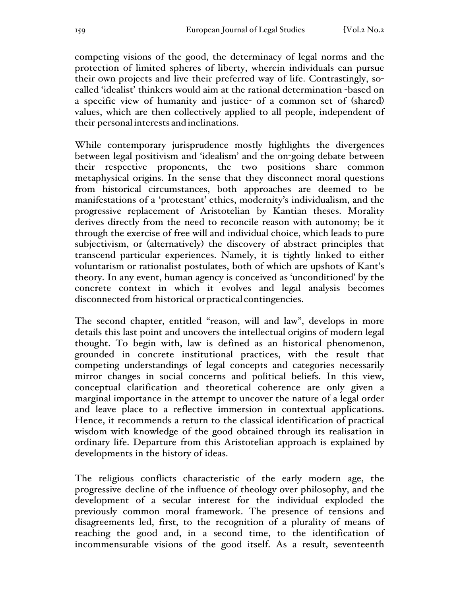competing visions of the good, the determinacy of legal norms and the protection of limited spheres of liberty, wherein individuals can pursue their own projects and live their preferred way of life. Contrastingly, socalled 'idealist' thinkers would aim at the rational determination -based on a specific view of humanity and justice- of a common set of (shared) values, which are then collectively applied to all people, independent of their personalinterests and inclinations.

While contemporary jurisprudence mostly highlights the divergences between legal positivism and 'idealism' and the on-going debate between their respective proponents, the two positions share common metaphysical origins. In the sense that they disconnect moral questions from historical circumstances, both approaches are deemed to be manifestations of a 'protestant' ethics, modernity's individualism, and the progressive replacement of Aristotelian by Kantian theses. Morality derives directly from the need to reconcile reason with autonomy; be it through the exercise of free will and individual choice, which leads to pure subjectivism, or (alternatively) the discovery of abstract principles that transcend particular experiences. Namely, it is tightly linked to either voluntarism or rationalist postulates, both of which are upshots of Kant's theory. In any event, human agency is conceived as 'unconditioned' by the concrete context in which it evolves and legal analysis becomes disconnected from historical orpractical contingencies.

The second chapter, entitled "reason, will and law", develops in more details this last point and uncovers the intellectual origins of modern legal thought. To begin with, law is defined as an historical phenomenon, grounded in concrete institutional practices, with the result that competing understandings of legal concepts and categories necessarily mirror changes in social concerns and political beliefs. In this view, conceptual clarification and theoretical coherence are only given a marginal importance in the attempt to uncover the nature of a legal order and leave place to a reflective immersion in contextual applications. Hence, it recommends a return to the classical identification of practical wisdom with knowledge of the good obtained through its realisation in ordinary life. Departure from this Aristotelian approach is explained by developments in the history of ideas.

The religious conflicts characteristic of the early modern age, the progressive decline of the influence of theology over philosophy, and the development of a secular interest for the individual exploded the previously common moral framework. The presence of tensions and disagreements led, first, to the recognition of a plurality of means of reaching the good and, in a second time, to the identification of incommensurable visions of the good itself. As a result, seventeenth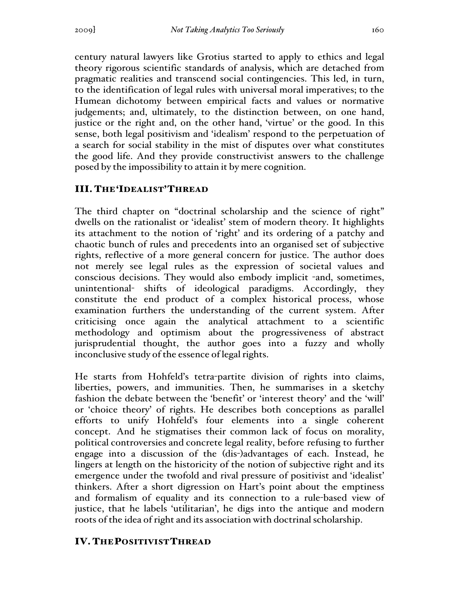century natural lawyers like Grotius started to apply to ethics and legal theory rigorous scientific standards of analysis, which are detached from pragmatic realities and transcend social contingencies. This led, in turn, to the identification of legal rules with universal moral imperatives; to the Humean dichotomy between empirical facts and values or normative judgements; and, ultimately, to the distinction between, on one hand, justice or the right and, on the other hand, 'virtue' or the good. In this sense, both legal positivism and 'idealism' respond to the perpetuation of a search for social stability in the mist of disputes over what constitutes the good life. And they provide constructivist answers to the challenge posed by the impossibility to attain it by mere cognition.

## III. THE'IDEALIST'THREAD

The third chapter on "doctrinal scholarship and the science of right" dwells on the rationalist or 'idealist' stem of modern theory. It highlights its attachment to the notion of 'right' and its ordering of a patchy and chaotic bunch of rules and precedents into an organised set of subjective rights, reflective of a more general concern for justice. The author does not merely see legal rules as the expression of societal values and conscious decisions. They would also embody implicit -and, sometimes, unintentional- shifts of ideological paradigms. Accordingly, they constitute the end product of a complex historical process, whose examination furthers the understanding of the current system. After criticising once again the analytical attachment to a scientific methodology and optimism about the progressiveness of abstract jurisprudential thought, the author goes into a fuzzy and wholly inconclusive study of the essence of legal rights.

He starts from Hohfeld's tetra-partite division of rights into claims, liberties, powers, and immunities. Then, he summarises in a sketchy fashion the debate between the 'benefit' or 'interest theory' and the 'will' or 'choice theory' of rights. He describes both conceptions as parallel efforts to unify Hohfeld's four elements into a single coherent concept. And he stigmatises their common lack of focus on morality, political controversies and concrete legal reality, before refusing to further engage into a discussion of the (dis-)advantages of each. Instead, he lingers at length on the historicity of the notion of subjective right and its emergence under the twofold and rival pressure of positivist and 'idealist' thinkers. After a short digression on Hart's point about the emptiness and formalism of equality and its connection to a rule-based view of justice, that he labels 'utilitarian', he digs into the antique and modern roots of the idea of right and its association with doctrinal scholarship.

# IV. THEPOSITIVISTTHREAD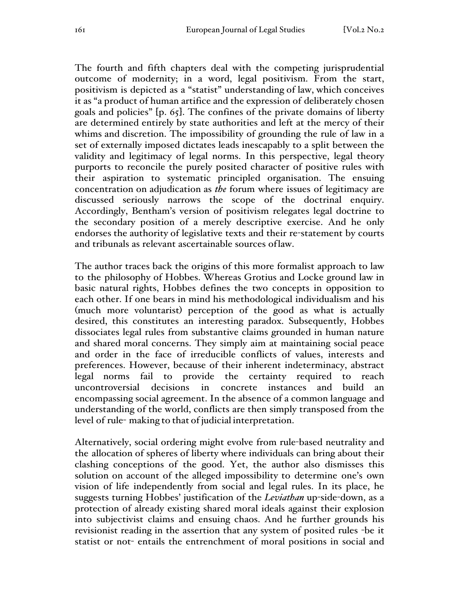The fourth and fifth chapters deal with the competing jurisprudential outcome of modernity; in a word, legal positivism. From the start, positivism is depicted as a "statist" understanding of law, which conceives it as "a product of human artifice and the expression of deliberately chosen goals and policies" [p. 65]. The confines of the private domains of liberty are determined entirely by state authorities and left at the mercy of their whims and discretion. The impossibility of grounding the rule of law in a set of externally imposed dictates leads inescapably to a split between the validity and legitimacy of legal norms. In this perspective, legal theory purports to reconcile the purely posited character of positive rules with their aspiration to systematic principled organisation. The ensuing concentration on adjudication as *the* forum where issues of legitimacy are discussed seriously narrows the scope of the doctrinal enquiry. Accordingly, Bentham's version of positivism relegates legal doctrine to the secondary position of a merely descriptive exercise. And he only endorses the authority of legislative texts and their re-statement by courts and tribunals as relevant ascertainable sources oflaw.

The author traces back the origins of this more formalist approach to law to the philosophy of Hobbes. Whereas Grotius and Locke ground law in basic natural rights, Hobbes defines the two concepts in opposition to each other. If one bears in mind his methodological individualism and his (much more voluntarist) perception of the good as what is actually desired, this constitutes an interesting paradox. Subsequently, Hobbes dissociates legal rules from substantive claims grounded in human nature and shared moral concerns. They simply aim at maintaining social peace and order in the face of irreducible conflicts of values, interests and preferences. However, because of their inherent indeterminacy, abstract legal norms fail to provide the certainty required to reach uncontroversial decisions in concrete instances and build an encompassing social agreement. In the absence of a common language and understanding of the world, conflicts are then simply transposed from the level of rule- making to that of judicial interpretation.

Alternatively, social ordering might evolve from rule-based neutrality and the allocation of spheres of liberty where individuals can bring about their clashing conceptions of the good. Yet, the author also dismisses this solution on account of the alleged impossibility to determine one's own vision of life independently from social and legal rules. In its place, he suggests turning Hobbes' justification of the *Leviathan* up-side-down, as a protection of already existing shared moral ideals against their explosion into subjectivist claims and ensuing chaos. And he further grounds his revisionist reading in the assertion that any system of posited rules -be it statist or not- entails the entrenchment of moral positions in social and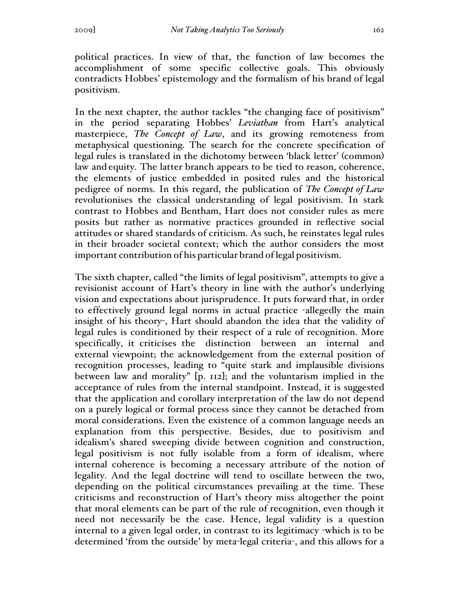political practices. In view of that, the function of law becomes the accomplishment of some specific collective goals. This obviously contradicts Hobbes' epistemology and the formalism of his brand of legal positivism.

In the next chapter, the author tackles "the changing face of positivism" in the period separating Hobbes' *Leviathan* from Hart's analytical masterpiece, *The Concept of Law*, and its growing remoteness from metaphysical questioning. The search for the concrete specification of legal rules is translated in the dichotomy between 'black letter' (common) law and equity. The latter branch appears to be tied to reason, coherence, the elements of justice embedded in posited rules and the historical pedigree of norms. In this regard, the publication of *The Concept of Law* revolutionises the classical understanding of legal positivism. In stark contrast to Hobbes and Bentham, Hart does not consider rules as mere posits but rather as normative practices grounded in reflective social attitudes or shared standards of criticism. As such, he reinstates legal rules in their broader societal context; which the author considers the most important contribution of his particular brand of legal positivism.

The sixth chapter, called "the limits of legal positivism", attempts to give a revisionist account of Hart's theory in line with the author's underlying vision and expectations about jurisprudence. It puts forward that, in order to effectively ground legal norms in actual practice -allegedly the main insight of his theory-, Hart should abandon the idea that the validity of legal rules is conditioned by their respect of a rule of recognition. More specifically, it criticises the distinction between an internal and external viewpoint; the acknowledgement from the external position of recognition processes, leading to "quite stark and implausible divisions between law and morality" [p. 112]; and the voluntarism implied in the acceptance of rules from the internal standpoint. Instead, it is suggested that the application and corollary interpretation of the law do not depend on a purely logical or formal process since they cannot be detached from moral considerations. Even the existence of a common language needs an explanation from this perspective. Besides, due to positivism and idealism's shared sweeping divide between cognition and construction, legal positivism is not fully isolable from a form of idealism, where internal coherence is becoming a necessary attribute of the notion of legality. And the legal doctrine will tend to oscillate between the two, depending on the political circumstances prevailing at the time. These criticisms and reconstruction of Hart's theory miss altogether the point that moral elements can be part of the rule of recognition, even though it need not necessarily be the case. Hence, legal validity is a question internal to a given legal order, in contrast to its legitimacy -which is to be determined 'from the outside' by meta-legal criteria-, and this allows for a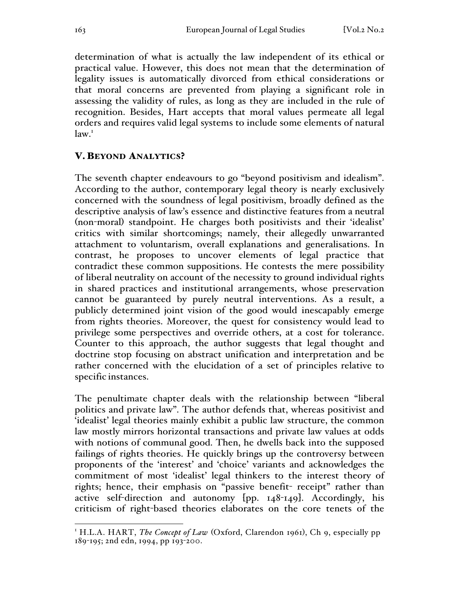determination of what is actually the law independent of its ethical or practical value. However, this does not mean that the determination of legality issues is automatically divorced from ethical considerations or that moral concerns are prevented from playing a significant role in assessing the validity of rules, as long as they are included in the rule of recognition. Besides, Hart accepts that moral values permeate all legal orders and requires valid legal systems to include some elements of natural  $law.<sup>T</sup>$ 

### V. BEYOND ANALYTICS?

The seventh chapter endeavours to go "beyond positivism and idealism". According to the author, contemporary legal theory is nearly exclusively concerned with the soundness of legal positivism, broadly defined as the descriptive analysis of law's essence and distinctive features from a neutral (non-moral) standpoint. He charges both positivists and their 'idealist' critics with similar shortcomings; namely, their allegedly unwarranted attachment to voluntarism, overall explanations and generalisations. In contrast, he proposes to uncover elements of legal practice that contradict these common suppositions. He contests the mere possibility of liberal neutrality on account of the necessity to ground individual rights in shared practices and institutional arrangements, whose preservation cannot be guaranteed by purely neutral interventions. As a result, a publicly determined joint vision of the good would inescapably emerge from rights theories. Moreover, the quest for consistency would lead to privilege some perspectives and override others, at a cost for tolerance. Counter to this approach, the author suggests that legal thought and doctrine stop focusing on abstract unification and interpretation and be rather concerned with the elucidation of a set of principles relative to specific instances.

The penultimate chapter deals with the relationship between "liberal politics and private law". The author defends that, whereas positivist and 'idealist' legal theories mainly exhibit a public law structure, the common law mostly mirrors horizontal transactions and private law values at odds with notions of communal good. Then, he dwells back into the supposed failings of rights theories. He quickly brings up the controversy between proponents of the 'interest' and 'choice' variants and acknowledges the commitment of most 'idealist' legal thinkers to the interest theory of rights; hence, their emphasis on "passive benefit- receipt" rather than active self-direction and autonomy [pp. 148-149]. Accordingly, his criticism of right-based theories elaborates on the core tenets of the

1

<sup>1</sup> H.L.A. HART, *The Concept of Law* (Oxford, Clarendon 1961), Ch 9, especially pp 189-195; 2nd edn, 1994, pp 193-200.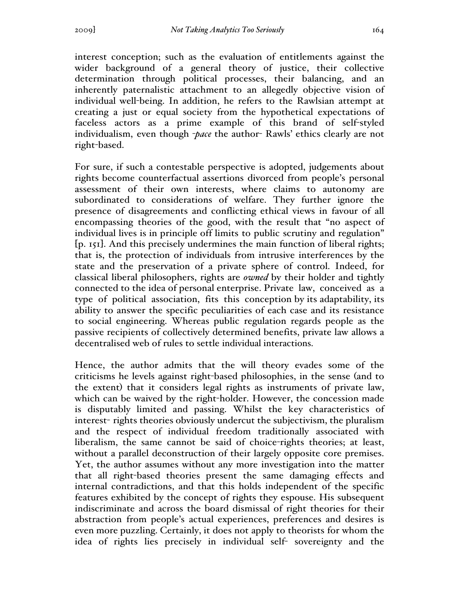interest conception; such as the evaluation of entitlements against the wider background of a general theory of justice, their collective determination through political processes, their balancing, and an inherently paternalistic attachment to an allegedly objective vision of individual well-being. In addition, he refers to the Rawlsian attempt at creating a just or equal society from the hypothetical expectations of faceless actors as a prime example of this brand of self-styled individualism, even though -*pace* the author- Rawls' ethics clearly are not right-based.

For sure, if such a contestable perspective is adopted, judgements about rights become counterfactual assertions divorced from people's personal assessment of their own interests, where claims to autonomy are subordinated to considerations of welfare. They further ignore the presence of disagreements and conflicting ethical views in favour of all encompassing theories of the good, with the result that "no aspect of individual lives is in principle off limits to public scrutiny and regulation" [p. 151]. And this precisely undermines the main function of liberal rights; that is, the protection of individuals from intrusive interferences by the state and the preservation of a private sphere of control. Indeed, for classical liberal philosophers, rights are *owned* by their holder and tightly connected to the idea of personal enterprise. Private law, conceived as a type of political association, fits this conception by its adaptability, its ability to answer the specific peculiarities of each case and its resistance to social engineering. Whereas public regulation regards people as the passive recipients of collectively determined benefits, private law allows a decentralised web of rules to settle individual interactions.

Hence, the author admits that the will theory evades some of the criticisms he levels against right-based philosophies, in the sense (and to the extent) that it considers legal rights as instruments of private law, which can be waived by the right-holder. However, the concession made is disputably limited and passing. Whilst the key characteristics of interest- rights theories obviously undercut the subjectivism, the pluralism and the respect of individual freedom traditionally associated with liberalism, the same cannot be said of choice-rights theories; at least, without a parallel deconstruction of their largely opposite core premises. Yet, the author assumes without any more investigation into the matter that all right-based theories present the same damaging effects and internal contradictions, and that this holds independent of the specific features exhibited by the concept of rights they espouse. His subsequent indiscriminate and across the board dismissal of right theories for their abstraction from people's actual experiences, preferences and desires is even more puzzling. Certainly, it does not apply to theorists for whom the idea of rights lies precisely in individual self- sovereignty and the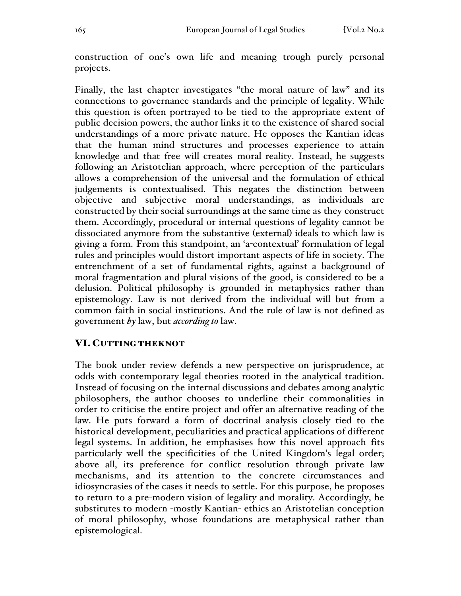construction of one's own life and meaning trough purely personal projects.

Finally, the last chapter investigates "the moral nature of law" and its connections to governance standards and the principle of legality. While this question is often portrayed to be tied to the appropriate extent of public decision powers, the author links it to the existence of shared social understandings of a more private nature. He opposes the Kantian ideas that the human mind structures and processes experience to attain knowledge and that free will creates moral reality. Instead, he suggests following an Aristotelian approach, where perception of the particulars allows a comprehension of the universal and the formulation of ethical judgements is contextualised. This negates the distinction between objective and subjective moral understandings, as individuals are constructed by their social surroundings at the same time as they construct them. Accordingly, procedural or internal questions of legality cannot be dissociated anymore from the substantive (external) ideals to which law is giving a form. From this standpoint, an 'a-contextual' formulation of legal rules and principles would distort important aspects of life in society. The entrenchment of a set of fundamental rights, against a background of moral fragmentation and plural visions of the good, is considered to be a delusion. Political philosophy is grounded in metaphysics rather than epistemology. Law is not derived from the individual will but from a common faith in social institutions. And the rule of law is not defined as government *by* law, but *according to* law.

### VI. CUTTING THEKNOT

The book under review defends a new perspective on jurisprudence, at odds with contemporary legal theories rooted in the analytical tradition. Instead of focusing on the internal discussions and debates among analytic philosophers, the author chooses to underline their commonalities in order to criticise the entire project and offer an alternative reading of the law. He puts forward a form of doctrinal analysis closely tied to the historical development, peculiarities and practical applications of different legal systems. In addition, he emphasises how this novel approach fits particularly well the specificities of the United Kingdom's legal order; above all, its preference for conflict resolution through private law mechanisms, and its attention to the concrete circumstances and idiosyncrasies of the cases it needs to settle. For this purpose, he proposes to return to a pre-modern vision of legality and morality. Accordingly, he substitutes to modern -mostly Kantian- ethics an Aristotelian conception of moral philosophy, whose foundations are metaphysical rather than epistemological.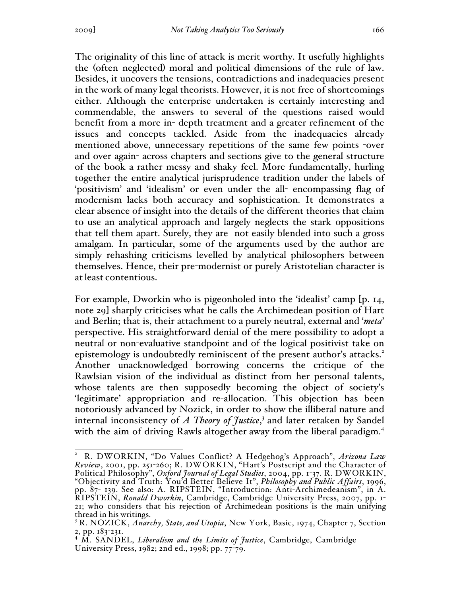The originality of this line of attack is merit worthy. It usefully highlights the (often neglected) moral and political dimensions of the rule of law. Besides, it uncovers the tensions, contradictions and inadequacies present in the work of many legal theorists. However, it is not free of shortcomings either. Although the enterprise undertaken is certainly interesting and commendable, the answers to several of the questions raised would benefit from a more in- depth treatment and a greater refinement of the issues and concepts tackled. Aside from the inadequacies already mentioned above, unnecessary repetitions of the same few points -over and over again- across chapters and sections give to the general structure of the book a rather messy and shaky feel. More fundamentally, hurling together the entire analytical jurisprudence tradition under the labels of 'positivism' and 'idealism' or even under the all- encompassing flag of modernism lacks both accuracy and sophistication. It demonstrates a clear absence of insight into the details of the different theories that claim to use an analytical approach and largely neglects the stark oppositions that tell them apart. Surely, they are not easily blended into such a gross amalgam. In particular, some of the arguments used by the author are simply rehashing criticisms levelled by analytical philosophers between themselves. Hence, their pre-modernist or purely Aristotelian character is atleast contentious.

For example, Dworkin who is pigeonholed into the 'idealist' camp [p. 14, note 29] sharply criticises what he calls the Archimedean position of Hart and Berlin; that is, their attachment to a purely neutral, external and '*meta*' perspective. His straightforward denial of the mere possibility to adopt a neutral or non-evaluative standpoint and of the logical positivist take on epistemology is undoubtedly reminiscent of the present author's attacks.<sup>2</sup> Another unacknowledged borrowing concerns the critique of the Rawlsian vision of the individual as distinct from her personal talents, whose talents are then supposedly becoming the object of society's 'legitimate' appropriation and re-allocation. This objection has been notoriously advanced by Nozick, in order to show the illiberal nature and internal inconsistency of *A Theory of Justice*, <sup>3</sup> and later retaken by Sandel with the aim of driving Rawls altogether away from the liberal paradigm.<sup>4</sup>

 $\frac{1}{2}$  R. DWORKIN, "Do Values Conflict? A Hedgehog's Approach", *Arizona Law Review*, 2001, pp. 251-260; R. DWORKIN, "Hart's Postscript and the Character of Political Philosophy", *Oxford Journal of Legal Studies*, 2004, pp. 1-37. R. DWORKIN, "Objectivity and Truth: You'd Better Believe It", *Philosophy and Public Affairs*, 1996, pp. 87- 139. See also: A. RIPSTEIN, "Introduction: Anti-Archimedeanism", in A. RIPSTEIN, *Ronald Dworkin*, Cambridge, Cambridge University Press, 2007, pp. 1- 21; who considers that his rejection of Archimedean positions is the main unifying thread in his writings.

<sup>3</sup> R. NOZICK, *Anarchy, State, and Utopia*, New York, Basic, 1974, Chapter 7, Section 2, pp. 183-231.

<sup>4</sup> M. SANDEL, *Liberalism and the Limits of Justice*, Cambridge, Cambridge University Press, 1982; 2nd ed., 1998; pp. 77-79.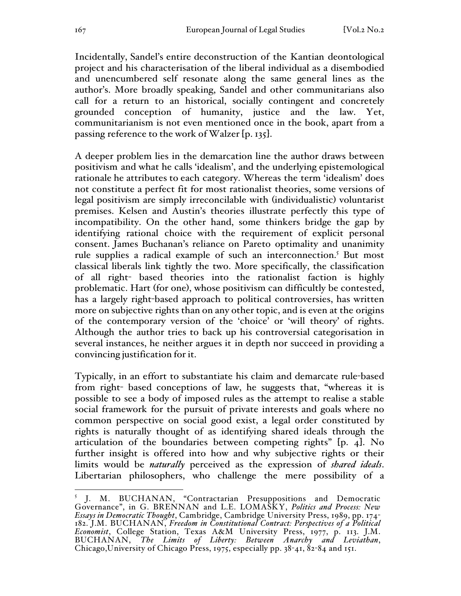Incidentally, Sandel's entire deconstruction of the Kantian deontological project and his characterisation of the liberal individual as a disembodied and unencumbered self resonate along the same general lines as the author's. More broadly speaking, Sandel and other communitarians also call for a return to an historical, socially contingent and concretely grounded conception of humanity, justice and the law. Yet, communitarianism is not even mentioned once in the book, apart from a passing reference to the work of Walzer [p. 135].

A deeper problem lies in the demarcation line the author draws between positivism and what he calls 'idealism', and the underlying epistemological rationale he attributes to each category. Whereas the term 'idealism' does not constitute a perfect fit for most rationalist theories, some versions of legal positivism are simply irreconcilable with (individualistic) voluntarist premises. Kelsen and Austin's theories illustrate perfectly this type of incompatibility. On the other hand, some thinkers bridge the gap by identifying rational choice with the requirement of explicit personal consent. James Buchanan's reliance on Pareto optimality and unanimity rule supplies a radical example of such an interconnection.<sup>5</sup> But most classical liberals link tightly the two. More specifically, the classification of all right- based theories into the rationalist faction is highly problematic. Hart (for one), whose positivism can difficultly be contested, has a largely right-based approach to political controversies, has written more on subjective rights than on any other topic, and is even at the origins of the contemporary version of the 'choice' or 'will theory' of rights. Although the author tries to back up his controversial categorisation in several instances, he neither argues it in depth nor succeed in providing a convincing justification for it.

Typically, in an effort to substantiate his claim and demarcate rule-based from right- based conceptions of law, he suggests that, "whereas it is possible to see a body of imposed rules as the attempt to realise a stable social framework for the pursuit of private interests and goals where no common perspective on social good exist, a legal order constituted by rights is naturally thought of as identifying shared ideals through the articulation of the boundaries between competing rights" [p. 4]. No further insight is offered into how and why subjective rights or their limits would be *naturally* perceived as the expression of *shared ideals*. Libertarian philosophers, who challenge the mere possibility of a

1

<sup>5</sup> J. M. BUCHANAN, "Contractarian Presuppositions and Democratic Governance", in G. BRENNAN and L.E. LOMASKY, *Politics and Process: New Essays in Democratic Thought*, Cambridge, Cambridge University Press, 1989, pp. 174- 182. J.M. BUCHANAN, *Freedom in Constitutional Contract: Perspectives of a Political Economist*, College Station, Texas A&M University Press, 1977, p. 113. J.M. BUCHANAN, *The Limits of Liberty: Between Anarchy and Leviathan*, Chicago, University of Chicago Press, 1975, especially pp.  $38-41$ ,  $82-84$  and 151.